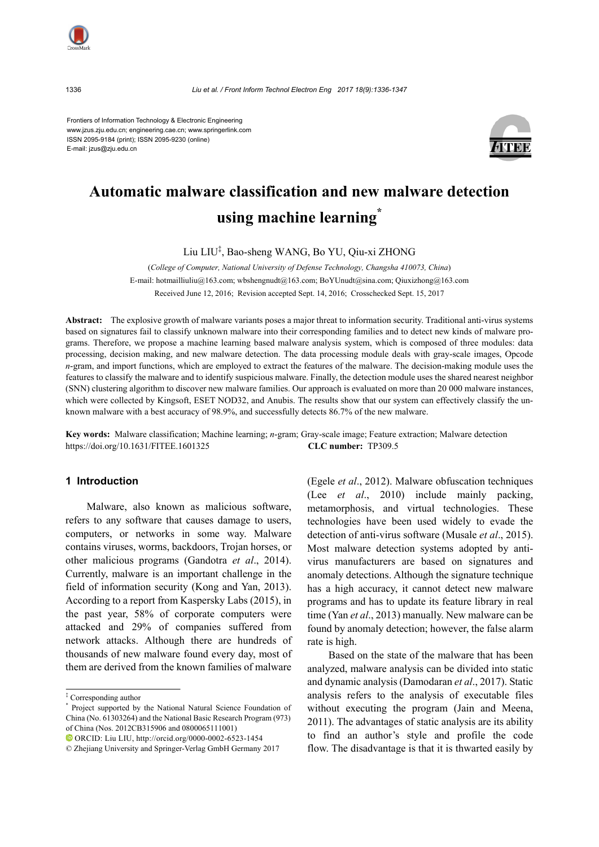

Frontiers of Information Technology & Electronic Engineering www.jzus.zju.edu.cn; engineering.cae.cn; www.springerlink.com ISSN 2095-9184 (print); ISSN 2095-9230 (online) E-mail: jzus@zju.edu.cn



# **Automatic malware classification and new malware detection using machine learning\***

Liu LIU‡ , Bao-sheng WANG, Bo YU, Qiu-xi ZHONG

(*College of Computer, National University of Defense Technology, Changsha 410073, China*) E-mail: hotmailliuliu@163.com; wbshengnudt@163.com; BoYUnudt@sina.com; Qiuxizhong@163.com Received June 12, 2016; Revision accepted Sept. 14, 2016; Crosschecked Sept. 15, 2017

**Abstract:** The explosive growth of malware variants poses a major threat to information security. Traditional anti-virus systems based on signatures fail to classify unknown malware into their corresponding families and to detect new kinds of malware programs. Therefore, we propose a machine learning based malware analysis system, which is composed of three modules: data processing, decision making, and new malware detection. The data processing module deals with gray-scale images, Opcode *n*-gram, and import functions, which are employed to extract the features of the malware. The decision-making module uses the features to classify the malware and to identify suspicious malware. Finally, the detection module uses the shared nearest neighbor (SNN) clustering algorithm to discover new malware families. Our approach is evaluated on more than 20 000 malware instances, which were collected by Kingsoft, ESET NOD32, and Anubis. The results show that our system can effectively classify the unknown malware with a best accuracy of 98.9%, and successfully detects 86.7% of the new malware.

**Key words:** Malware classification; Machine learning; *n*-gram; Gray-scale image; Feature extraction; Malware detection https://doi.org/10.1631/FITEE.1601325 **CLC number:** TP309.5

# **1 Introduction**

Malware, also known as malicious software, refers to any software that causes damage to users, computers, or networks in some way. Malware contains viruses, worms, backdoors, Trojan horses, or other malicious programs (Gandotra *et al*., 2014). Currently, malware is an important challenge in the field of information security (Kong and Yan, 2013). According to a report from Kaspersky Labs (2015), in the past year, 58% of corporate computers were attacked and 29% of companies suffered from network attacks. Although there are hundreds of thousands of new malware found every day, most of them are derived from the known families of malware (Egele *et al*., 2012). Malware obfuscation techniques (Lee *et al*., 2010) include mainly packing, metamorphosis, and virtual technologies. These technologies have been used widely to evade the detection of anti-virus software (Musale *et al*., 2015). Most malware detection systems adopted by antivirus manufacturers are based on signatures and anomaly detections. Although the signature technique has a high accuracy, it cannot detect new malware programs and has to update its feature library in real time (Yan *et al*., 2013) manually. New malware can be found by anomaly detection; however, the false alarm rate is high.

Based on the state of the malware that has been analyzed, malware analysis can be divided into static and dynamic analysis (Damodaran *et al*., 2017). Static analysis refers to the analysis of executable files without executing the program (Jain and Meena, 2011). The advantages of static analysis are its ability to find an author's style and profile the code flow. The disadvantage is that it is thwarted easily by

<sup>‡</sup> Corresponding author

<sup>\*</sup> Project supported by the National Natural Science Foundation of China (No. 61303264) and the National Basic Research Program (973) of China (Nos. 2012CB315906 and 0800065111001)

ORCID: Liu LIU, http://orcid.org/0000-0002-6523-1454

<sup>©</sup> Zhejiang University and Springer-Verlag GmbH Germany 2017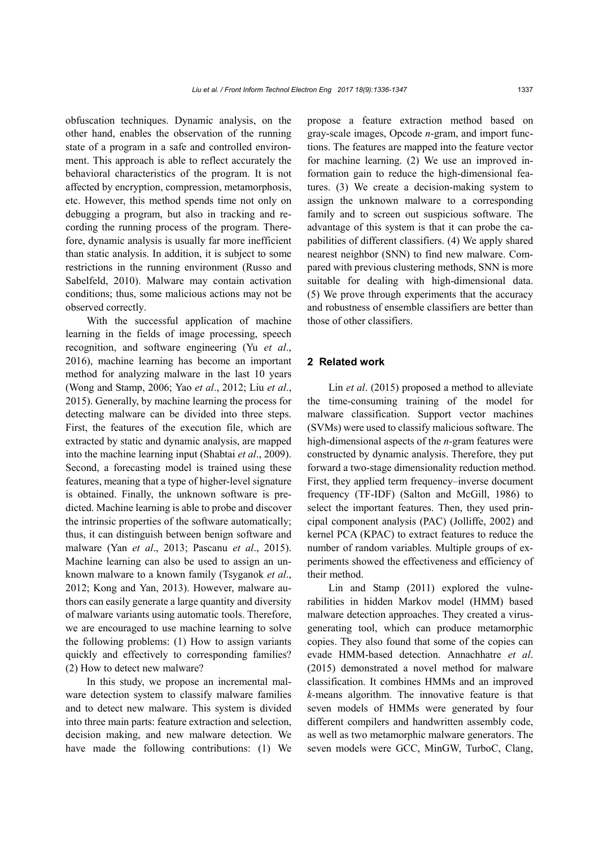obfuscation techniques. Dynamic analysis, on the other hand, enables the observation of the running state of a program in a safe and controlled environment. This approach is able to reflect accurately the behavioral characteristics of the program. It is not affected by encryption, compression, metamorphosis, etc. However, this method spends time not only on debugging a program, but also in tracking and recording the running process of the program. Therefore, dynamic analysis is usually far more inefficient than static analysis. In addition, it is subject to some restrictions in the running environment (Russo and Sabelfeld, 2010). Malware may contain activation conditions; thus, some malicious actions may not be observed correctly.

With the successful application of machine learning in the fields of image processing, speech recognition, and software engineering (Yu *et al*., 2016), machine learning has become an important method for analyzing malware in the last 10 years (Wong and Stamp, 2006; Yao *et al*., 2012; Liu *et al*., 2015). Generally, by machine learning the process for detecting malware can be divided into three steps. First, the features of the execution file, which are extracted by static and dynamic analysis, are mapped into the machine learning input (Shabtai *et al*., 2009). Second, a forecasting model is trained using these features, meaning that a type of higher-level signature is obtained. Finally, the unknown software is predicted. Machine learning is able to probe and discover the intrinsic properties of the software automatically; thus, it can distinguish between benign software and malware (Yan *et al*., 2013; Pascanu *et al*., 2015). Machine learning can also be used to assign an unknown malware to a known family (Tsyganok *et al*., 2012; Kong and Yan, 2013). However, malware authors can easily generate a large quantity and diversity of malware variants using automatic tools. Therefore, we are encouraged to use machine learning to solve the following problems: (1) How to assign variants quickly and effectively to corresponding families? (2) How to detect new malware?

In this study, we propose an incremental malware detection system to classify malware families and to detect new malware. This system is divided into three main parts: feature extraction and selection, decision making, and new malware detection. We have made the following contributions: (1) We propose a feature extraction method based on gray-scale images, Opcode *n*-gram, and import functions. The features are mapped into the feature vector for machine learning. (2) We use an improved information gain to reduce the high-dimensional features. (3) We create a decision-making system to assign the unknown malware to a corresponding family and to screen out suspicious software. The advantage of this system is that it can probe the capabilities of different classifiers. (4) We apply shared nearest neighbor (SNN) to find new malware. Compared with previous clustering methods, SNN is more suitable for dealing with high-dimensional data. (5) We prove through experiments that the accuracy and robustness of ensemble classifiers are better than those of other classifiers.

## **2 Related work**

Lin *et al*. (2015) proposed a method to alleviate the time-consuming training of the model for malware classification. Support vector machines (SVMs) were used to classify malicious software. The high-dimensional aspects of the *n-*gram features were constructed by dynamic analysis. Therefore, they put forward a two-stage dimensionality reduction method. First, they applied term frequency–inverse document frequency (TF-IDF) (Salton and McGill, 1986) to select the important features. Then, they used principal component analysis (PAC) (Jolliffe, 2002) and kernel PCA (KPAC) to extract features to reduce the number of random variables. Multiple groups of experiments showed the effectiveness and efficiency of their method.

Lin and Stamp (2011) explored the vulnerabilities in hidden Markov model (HMM) based malware detection approaches. They created a virusgenerating tool, which can produce metamorphic copies. They also found that some of the copies can evade HMM-based detection. Annachhatre *et al*. (2015) demonstrated a novel method for malware classification. It combines HMMs and an improved *k-*means algorithm. The innovative feature is that seven models of HMMs were generated by four different compilers and handwritten assembly code, as well as two metamorphic malware generators. The seven models were GCC, MinGW, TurboC, Clang,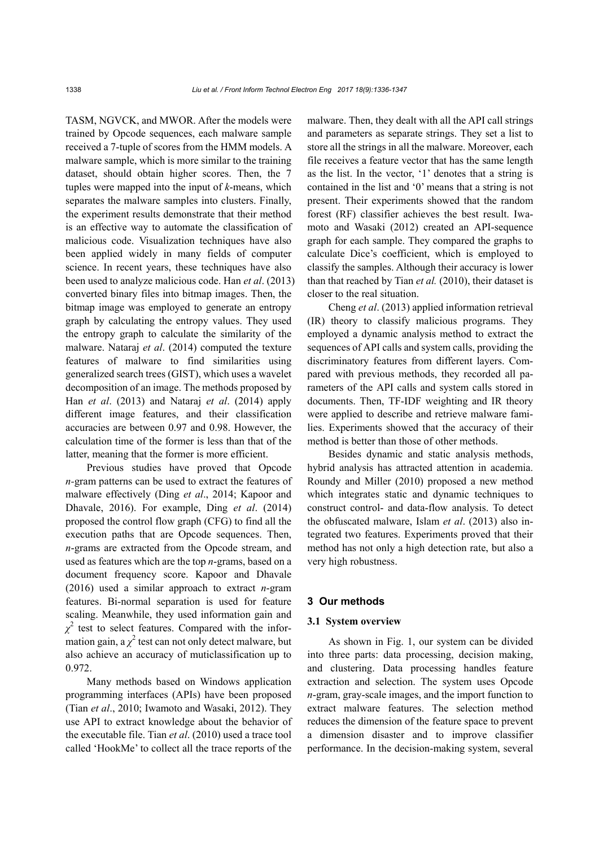TASM, NGVCK, and MWOR. After the models were trained by Opcode sequences, each malware sample received a 7-tuple of scores from the HMM models. A malware sample, which is more similar to the training dataset, should obtain higher scores. Then, the 7 tuples were mapped into the input of *k*-means, which separates the malware samples into clusters. Finally, the experiment results demonstrate that their method is an effective way to automate the classification of malicious code. Visualization techniques have also been applied widely in many fields of computer science. In recent years, these techniques have also been used to analyze malicious code. Han *et al*. (2013) converted binary files into bitmap images. Then, the bitmap image was employed to generate an entropy graph by calculating the entropy values. They used the entropy graph to calculate the similarity of the malware. Nataraj *et al*. (2014) computed the texture features of malware to find similarities using generalized search trees (GIST), which uses a wavelet decomposition of an image. The methods proposed by Han *et al*. (2013) and Nataraj *et al*. (2014) apply different image features, and their classification accuracies are between 0.97 and 0.98. However, the calculation time of the former is less than that of the latter, meaning that the former is more efficient.

Previous studies have proved that Opcode *n-*gram patterns can be used to extract the features of malware effectively (Ding *et al*., 2014; Kapoor and Dhavale, 2016). For example, Ding *et al*. (2014) proposed the control flow graph (CFG) to find all the execution paths that are Opcode sequences. Then, *n*-grams are extracted from the Opcode stream, and used as features which are the top *n*-grams, based on a document frequency score. Kapoor and Dhavale (2016) used a similar approach to extract *n*-gram features. Bi-normal separation is used for feature scaling. Meanwhile, they used information gain and  $\chi^2$  test to select features. Compared with the information gain, a  $\chi^2$  test can not only detect malware, but also achieve an accuracy of muticlassification up to 0.972.

Many methods based on Windows application programming interfaces (APIs) have been proposed (Tian *et al*., 2010; Iwamoto and Wasaki, 2012). They use API to extract knowledge about the behavior of the executable file. Tian *et al*. (2010) used a trace tool called 'HookMe' to collect all the trace reports of the malware. Then, they dealt with all the API call strings and parameters as separate strings. They set a list to store all the strings in all the malware. Moreover, each file receives a feature vector that has the same length as the list. In the vector, '1' denotes that a string is contained in the list and '0' means that a string is not present. Their experiments showed that the random forest (RF) classifier achieves the best result. Iwamoto and Wasaki (2012) created an API-sequence graph for each sample. They compared the graphs to calculate Dice's coefficient, which is employed to classify the samples. Although their accuracy is lower than that reached by Tian *et al.* (2010), their dataset is closer to the real situation.

Cheng *et al*. (2013) applied information retrieval (IR) theory to classify malicious programs. They employed a dynamic analysis method to extract the sequences of API calls and system calls, providing the discriminatory features from different layers. Compared with previous methods, they recorded all parameters of the API calls and system calls stored in documents. Then, TF-IDF weighting and IR theory were applied to describe and retrieve malware families. Experiments showed that the accuracy of their method is better than those of other methods.

Besides dynamic and static analysis methods, hybrid analysis has attracted attention in academia. Roundy and Miller (2010) proposed a new method which integrates static and dynamic techniques to construct control- and data-flow analysis. To detect the obfuscated malware, Islam *et al*. (2013) also integrated two features. Experiments proved that their method has not only a high detection rate, but also a very high robustness.

### **3 Our methods**

## **3.1 System overview**

As shown in Fig. 1, our system can be divided into three parts: data processing, decision making, and clustering. Data processing handles feature extraction and selection. The system uses Opcode *n*-gram, gray-scale images, and the import function to extract malware features. The selection method reduces the dimension of the feature space to prevent a dimension disaster and to improve classifier performance. In the decision-making system, several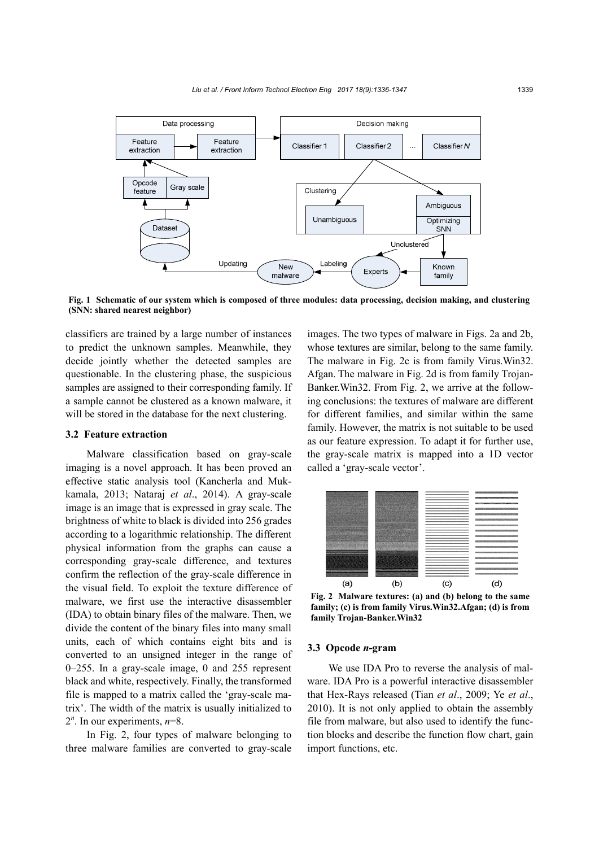

**Fig. 1 Schematic of our system which is composed of three modules: data processing, decision making, and clustering (SNN: shared nearest neighbor)**

classifiers are trained by a large number of instances to predict the unknown samples. Meanwhile, they decide jointly whether the detected samples are questionable. In the clustering phase, the suspicious samples are assigned to their corresponding family. If a sample cannot be clustered as a known malware, it will be stored in the database for the next clustering.

## **3.2 Feature extraction**

Malware classification based on gray-scale imaging is a novel approach. It has been proved an effective static analysis tool (Kancherla and Mukkamala, 2013; Nataraj *et al*., 2014). A gray-scale image is an image that is expressed in gray scale. The brightness of white to black is divided into 256 grades according to a logarithmic relationship. The different physical information from the graphs can cause a corresponding gray-scale difference, and textures confirm the reflection of the gray-scale difference in the visual field. To exploit the texture difference of malware, we first use the interactive disassembler (IDA) to obtain binary files of the malware. Then, we divide the content of the binary files into many small units, each of which contains eight bits and is converted to an unsigned integer in the range of 0–255. In a gray-scale image, 0 and 255 represent black and white, respectively. Finally, the transformed file is mapped to a matrix called the 'gray-scale matrix'. The width of the matrix is usually initialized to  $2^n$ . In our experiments,  $n=8$ .

In Fig. 2, four types of malware belonging to three malware families are converted to gray-scale images. The two types of malware in Figs. 2a and 2b, whose textures are similar, belong to the same family. The malware in Fig. 2c is from family Virus.Win32. Afgan. The malware in Fig. 2d is from family Trojan-Banker.Win32. From Fig. 2, we arrive at the following conclusions: the textures of malware are different for different families, and similar within the same family. However, the matrix is not suitable to be used as our feature expression. To adapt it for further use, the gray-scale matrix is mapped into a 1D vector called a 'gray-scale vector'.



**Fig. 2 Malware textures: (a) and (b) belong to the same family; (c) is from family Virus.Win32.Afgan; (d) is from family Trojan-Banker.Win32**

#### **3.3 Opcode** *n***-gram**

We use IDA Pro to reverse the analysis of malware. IDA Pro is a powerful interactive disassembler that Hex-Rays released (Tian *et al*., 2009; Ye *et al*., 2010). It is not only applied to obtain the assembly file from malware, but also used to identify the function blocks and describe the function flow chart, gain import functions, etc.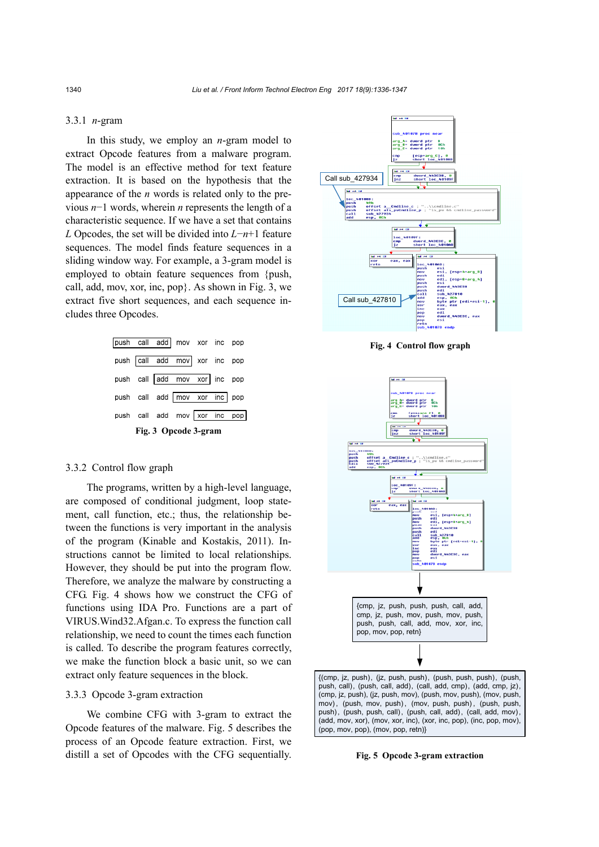## 3.3.1 *n*-gram

In this study, we employ an *n*-gram model to extract Opcode features from a malware program. The model is an effective method for text feature extraction. It is based on the hypothesis that the appearance of the *n* words is related only to the previous *n*−1 words, wherein *n* represents the length of a characteristic sequence. If we have a set that contains *L* Opcodes, the set will be divided into *L*−*n*+1 feature sequences. The model finds feature sequences in a sliding window way. For example, a 3-gram model is employed to obtain feature sequences from {push, call, add, mov, xor, inc, pop}. As shown in Fig. 3, we extract five short sequences, and each sequence includes three Opcodes.



#### 3.3.2 Control flow graph

The programs, written by a high-level language, are composed of conditional judgment, loop statement, call function, etc.; thus, the relationship between the functions is very important in the analysis of the program (Kinable and Kostakis, 2011). Instructions cannot be limited to local relationships. However, they should be put into the program flow. Therefore, we analyze the malware by constructing a CFG. Fig. 4 shows how we construct the CFG of functions using IDA Pro. Functions are a part of VIRUS.Wind32.Afgan.c. To express the function call relationship, we need to count the times each function is called. To describe the program features correctly, we make the function block a basic unit, so we can extract only feature sequences in the block.

### 3.3.3 Opcode 3-gram extraction

We combine CFG with 3-gram to extract the Opcode features of the malware. Fig. 5 describes the process of an Opcode feature extraction. First, we distill a set of Opcodes with the CFG sequentially.



**Fig. 4 Control flow graph**



**Fig. 5 Opcode 3-gram extraction**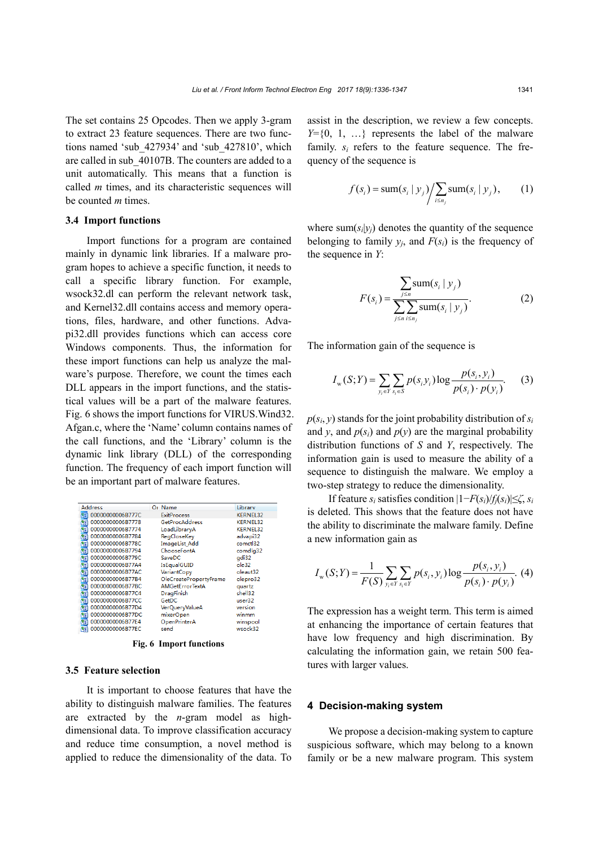The set contains 25 Opcodes. Then we apply 3-gram to extract 23 feature sequences. There are two functions named 'sub\_427934' and 'sub\_427810', which are called in sub\_40107B. The counters are added to a unit automatically. This means that a function is called *m* times, and its characteristic sequences will be counted *m* times.

#### **3.4 Import functions**

Import functions for a program are contained mainly in dynamic link libraries. If a malware program hopes to achieve a specific function, it needs to call a specific library function. For example, wsock32.dl can perform the relevant network task, and Kernel32.dll contains access and memory operations, files, hardware, and other functions. Advapi32.dll provides functions which can access core Windows components. Thus, the information for these import functions can help us analyze the malware's purpose. Therefore, we count the times each DLL appears in the import functions, and the statistical values will be a part of the malware features. Fig. 6 shows the import functions for VIRUS.Wind32. Afgan.c, where the 'Name' column contains names of the call functions, and the 'Library' column is the dynamic link library (DLL) of the corresponding function. The frequency of each import function will be an important part of malware features.

|    | <b>Address</b>   | Or Name |                        | Library         |
|----|------------------|---------|------------------------|-----------------|
|    | 00000000006B777C |         | <b>ExitProcess</b>     | KERNEL32        |
|    | 00000000006B7778 |         | GetProcAddress         | <b>KERNEL32</b> |
|    | 00000000006B7774 |         | LoadLibraryA           | <b>KERNEL32</b> |
|    | 00000000006B7784 |         | RegCloseKey            | advapi32        |
|    | 00000000006B778C |         | <b>ImageList Add</b>   | comctl32        |
|    | 00000000006B7794 |         | ChooseFontA            | comdlg32        |
|    | 00000000006B779C |         | SaveDC                 | gdi32           |
|    | 00000000006B77A4 |         | IsEqualGUID            | ole32           |
|    | 00000000006B77AC |         | VariantCopy            | oleaut32        |
|    | 00000000006B77B4 |         | OleCreatePropertyFrame | olepro32        |
|    | 00000000006B77BC |         | <b>AMGetErrorTextA</b> | quartz          |
|    | 00000000006B77C4 |         | DragFinish             | shell32         |
|    | 00000000006B77CC | GetDC   |                        | user32          |
|    | 00000000006B77D4 |         | <b>VerQueryValueA</b>  | version         |
|    | 00000000006B77DC |         | mixerOpen              | winmm           |
| Ñ٤ | 00000000006B77E4 |         | OpenPrinterA           | winspool        |
| ۴ī | 00000000006B77EC | send    |                        | wsock32         |

**Fig. 6 Import functions**

## **3.5 Feature selection**

It is important to choose features that have the ability to distinguish malware families. The features are extracted by the *n*-gram model as highdimensional data. To improve classification accuracy and reduce time consumption, a novel method is applied to reduce the dimensionality of the data. To

assist in the description, we review a few concepts.  $Y=$ {0, 1, ...} represents the label of the malware family.  $s_i$  refers to the feature sequence. The frequency of the sequence is

$$
f(s_i) = \operatorname{sum}(s_i \mid y_j) / \sum_{i \le n_j} \operatorname{sum}(s_i \mid y_j), \qquad (1)
$$

where  $sum(s_i|y_i)$  denotes the quantity of the sequence belonging to family  $y_i$ , and  $F(s_i)$  is the frequency of the sequence in *Y*:

$$
F(s_i) = \frac{\sum_{j \le n} \text{sum}(s_i \mid y_j)}{\sum_{j \le n} \sum_{i \le n_j} \text{sum}(s_i \mid y_j)}.
$$
 (2)

The information gain of the sequence is

$$
I_{\rm w}(S;Y) = \sum_{y_i \in Y} \sum_{s_i \in S} p(s_i y_i) \log \frac{p(s_i, y_i)}{p(s_i) \cdot p(y_i)}.
$$
 (3)

 $p(s_i, y)$  stands for the joint probability distribution of  $s_i$ and *y*, and  $p(s_i)$  and  $p(y)$  are the marginal probability distribution functions of *S* and *Y*, respectively. The information gain is used to measure the ability of a sequence to distinguish the malware. We employ a two-step strategy to reduce the dimensionality.

If feature *si* satisfies condition |1−*F*(*si*)/*fj*(*si*)|≤*ζ*, *si* is deleted. This shows that the feature does not have the ability to discriminate the malware family. Define a new information gain as

$$
I_{\rm w}(S;Y) = \frac{1}{F(S)} \sum_{y_i \in Y} \sum_{s_i \in Y} p(s_i, y_i) \log \frac{p(s_i, y_i)}{p(s_i) \cdot p(y_i)}.
$$
 (4)

The expression has a weight term. This term is aimed at enhancing the importance of certain features that have low frequency and high discrimination. By calculating the information gain, we retain 500 features with larger values.

## **4 Decision-making system**

We propose a decision-making system to capture suspicious software, which may belong to a known family or be a new malware program. This system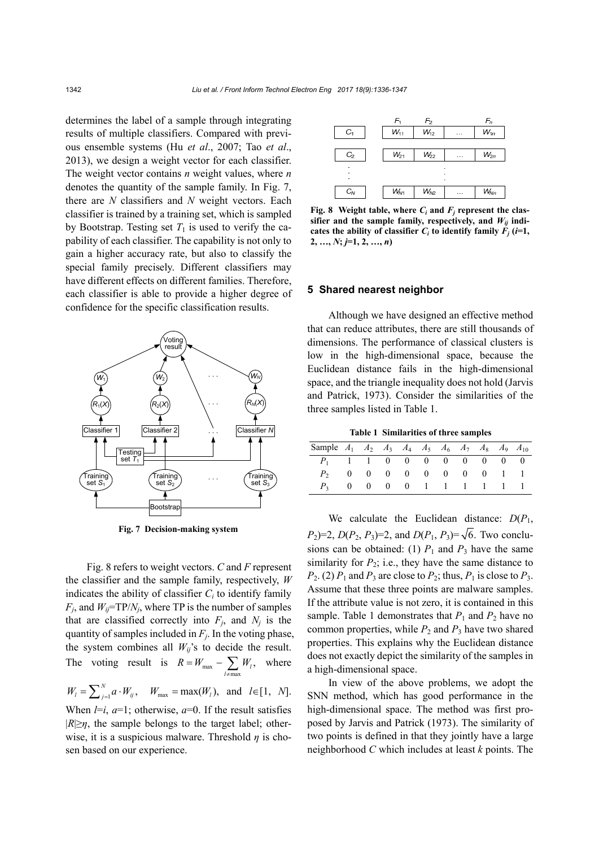determines the label of a sample through integrating results of multiple classifiers. Compared with previous ensemble systems (Hu *et al*., 2007; Tao *et al*., 2013), we design a weight vector for each classifier. The weight vector contains *n* weight values, where *n* denotes the quantity of the sample family. In Fig. 7, there are *N* classifiers and *N* weight vectors. Each classifier is trained by a training set, which is sampled by Bootstrap. Testing set  $T_1$  is used to verify the capability of each classifier. The capability is not only to gain a higher accuracy rate, but also to classify the special family precisely. Different classifiers may have different effects on different families. Therefore, each classifier is able to provide a higher degree of confidence for the specific classification results.



**Fig. 7 Decision-making system**

Fig. 8 refers to weight vectors. *C* and *F* represent the classifier and the sample family, respectively, *W*  indicates the ability of classifier  $C_i$  to identify family  $F_j$ , and  $W_{ij}$ =TP/ $N_j$ , where TP is the number of samples that are classified correctly into  $F_j$ , and  $N_j$  is the quantity of samples included in  $F_i$ . In the voting phase, the system combines all  $W_{ij}$ 's to decide the result. The voting result is  $R = W_{\text{max}} - \sum_{l \neq \text{max}} W_l$ ,  $R = W_{\text{max}} - \sum W$  $= W_{\text{max}} - \sum_{l \neq \text{max}} W_l$ , where

$$
W_1 = \sum_{j=1}^{N} a \cdot W_{ij}
$$
,  $W_{\text{max}} = \max(W_1)$ , and  $l \in [1, N]$ .

When  $l=i$ ,  $a=1$ ; otherwise,  $a=0$ . If the result satisfies  $|R \geq \eta$ , the sample belongs to the target label; otherwise, it is a suspicious malware. Threshold  $\eta$  is chosen based on our experience.



**Fig. 8** Weight table, where  $C_i$  and  $F_j$  represent the classifier and the sample family, respectively, and  $W_{ij}$  indicates the ability of classifier  $C_i$  to identify family  $\overline{F}_i$  (*i*=1,  $2, \ldots, N; j=1, 2, \ldots, n$ 

#### **5 Shared nearest neighbor**

Although we have designed an effective method that can reduce attributes, there are still thousands of dimensions. The performance of classical clusters is low in the high-dimensional space, because the Euclidean distance fails in the high-dimensional space, and the triangle inequality does not hold (Jarvis and Patrick, 1973). Consider the similarities of the three samples listed in Table 1.

**Table 1 Similarities of three samples**

| Sample $A_1$ $A_2$ $A_3$ $A_4$ $A_5$ $A_6$ $A_7$ $A_8$ $A_9$ $A_{10}$ |  |  |  |  |  |
|-----------------------------------------------------------------------|--|--|--|--|--|
| $P_1$ 1 1 0 0 0 0 0 0 0 0                                             |  |  |  |  |  |
| $P_2$ 0 0 0 0 0 0 0 0 1 1                                             |  |  |  |  |  |
| $P_3$ 0 0 0 0 1 1 1 1 1 1                                             |  |  |  |  |  |

We calculate the Euclidean distance:  $D(P_1)$ , *P*<sub>2</sub>)=2, *D*(*P*<sub>2</sub>, *P*<sub>3</sub>)=2, and *D*(*P*<sub>1</sub>, *P*<sub>3</sub>)= $\sqrt{6}$ . Two conclusions can be obtained: (1)  $P_1$  and  $P_3$  have the same similarity for  $P_2$ ; i.e., they have the same distance to  $P_2$ . (2)  $P_1$  and  $P_3$  are close to  $P_2$ ; thus,  $P_1$  is close to  $P_3$ . Assume that these three points are malware samples. If the attribute value is not zero, it is contained in this sample. Table 1 demonstrates that  $P_1$  and  $P_2$  have no common properties, while  $P_2$  and  $P_3$  have two shared properties. This explains why the Euclidean distance does not exactly depict the similarity of the samples in a high-dimensional space.

In view of the above problems, we adopt the SNN method, which has good performance in the high-dimensional space. The method was first proposed by Jarvis and Patrick (1973). The similarity of two points is defined in that they jointly have a large neighborhood *C* which includes at least *k* points. The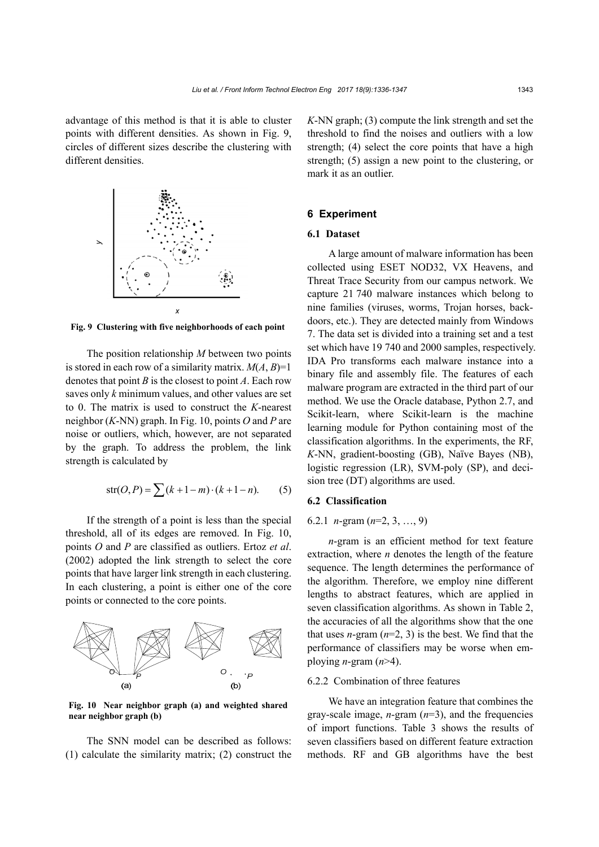advantage of this method is that it is able to cluster points with different densities. As shown in Fig. 9, circles of different sizes describe the clustering with different densities.



**Fig. 9 Clustering with five neighborhoods of each point**

The position relationship *M* between two points is stored in each row of a similarity matrix.  $M(A, B)=1$ denotes that point *B* is the closest to point *A*. Each row saves only *k* minimum values, and other values are set to 0. The matrix is used to construct the *K*-nearest neighbor (*K*-NN) graph. In Fig. 10, points *O* and *P* are noise or outliers, which, however, are not separated by the graph. To address the problem, the link strength is calculated by

$$
str(O, P) = \sum (k + 1 - m) \cdot (k + 1 - n). \tag{5}
$$

If the strength of a point is less than the special threshold, all of its edges are removed. In Fig. 10, points *O* and *P* are classified as outliers. Ertoz *et al*. (2002) adopted the link strength to select the core points that have larger link strength in each clustering. In each clustering, a point is either one of the core points or connected to the core points.



**Fig. 10 Near neighbor graph (a) and weighted shared near neighbor graph (b)**

The SNN model can be described as follows: (1) calculate the similarity matrix; (2) construct the *K*-NN graph; (3) compute the link strength and set the threshold to find the noises and outliers with a low strength; (4) select the core points that have a high strength; (5) assign a new point to the clustering, or mark it as an outlier.

## **6 Experiment**

#### **6.1 Dataset**

A large amount of malware information has been collected using ESET NOD32, VX Heavens, and Threat Trace Security from our campus network. We capture 21 740 malware instances which belong to nine families (viruses, worms, Trojan horses, backdoors, etc.). They are detected mainly from Windows 7. The data set is divided into a training set and a test set which have 19 740 and 2000 samples, respectively. IDA Pro transforms each malware instance into a binary file and assembly file. The features of each malware program are extracted in the third part of our method. We use the Oracle database, Python 2.7, and Scikit-learn, where Scikit-learn is the machine learning module for Python containing most of the classification algorithms. In the experiments, the RF, *K*-NN, gradient-boosting (GB), Naïve Bayes (NB), logistic regression (LR), SVM-poly (SP), and decision tree (DT) algorithms are used.

#### **6.2 Classification**

## 6.2.1 *n*-gram (*n*=2, 3, …, 9)

*n*-gram is an efficient method for text feature extraction, where *n* denotes the length of the feature sequence. The length determines the performance of the algorithm. Therefore, we employ nine different lengths to abstract features, which are applied in seven classification algorithms. As shown in Table 2, the accuracies of all the algorithms show that the one that uses *n*-gram  $(n=2, 3)$  is the best. We find that the performance of classifiers may be worse when employing *n*-gram  $(n>4)$ .

## 6.2.2 Combination of three features

We have an integration feature that combines the gray-scale image, *n*-gram (*n*=3), and the frequencies of import functions. Table 3 shows the results of seven classifiers based on different feature extraction methods. RF and GB algorithms have the best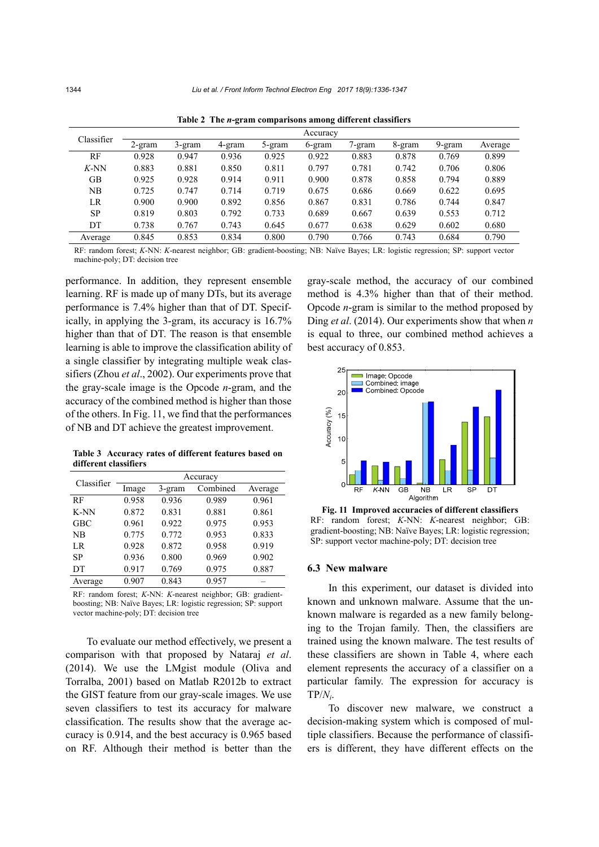| Classifier | Accuracy  |          |        |        |        |        |        |        |         |  |  |  |
|------------|-----------|----------|--------|--------|--------|--------|--------|--------|---------|--|--|--|
|            | $2$ -gram | $3-gram$ | 4-gram | 5-gram | 6-gram | 7-gram | 8-gram | 9-gram | Average |  |  |  |
| RF         | 0.928     | 0.947    | 0.936  | 0.925  | 0.922  | 0.883  | 0.878  | 0.769  | 0.899   |  |  |  |
| $K-NN$     | 0.883     | 0.881    | 0.850  | 0.811  | 0.797  | 0.781  | 0.742  | 0.706  | 0.806   |  |  |  |
| GВ         | 0.925     | 0.928    | 0.914  | 0.911  | 0.900  | 0.878  | 0.858  | 0.794  | 0.889   |  |  |  |
| NΒ         | 0.725     | 0.747    | 0.714  | 0.719  | 0.675  | 0.686  | 0.669  | 0.622  | 0.695   |  |  |  |
| LR         | 0.900     | 0.900    | 0.892  | 0.856  | 0.867  | 0.831  | 0.786  | 0.744  | 0.847   |  |  |  |
| <b>SP</b>  | 0.819     | 0.803    | 0.792  | 0.733  | 0.689  | 0.667  | 0.639  | 0.553  | 0.712   |  |  |  |
| DT         | 0.738     | 0.767    | 0.743  | 0.645  | 0.677  | 0.638  | 0.629  | 0.602  | 0.680   |  |  |  |
| Average    | 0.845     | 0.853    | 0.834  | 0.800  | 0.790  | 0.766  | 0.743  | 0.684  | 0.790   |  |  |  |

**Table 2 The** *n***-gram comparisons among different classifiers** 

RF: random forest; *K*-NN: *K*-nearest neighbor; GB: gradient-boosting; NB: Naïve Bayes; LR: logistic regression; SP: support vector machine-poly; DT: decision tree

performance. In addition, they represent ensemble learning. RF is made up of many DTs, but its average performance is 7.4% higher than that of DT. Specifically, in applying the 3-gram, its accuracy is 16.7% higher than that of DT. The reason is that ensemble learning is able to improve the classification ability of a single classifier by integrating multiple weak classifiers (Zhou *et al*., 2002). Our experiments prove that the gray-scale image is the Opcode *n*-gram, and the accuracy of the combined method is higher than those of the others. In Fig. 11, we find that the performances of NB and DT achieve the greatest improvement.

**Table 3 Accuracy rates of different features based on different classifiers** 

| Classifier | Accuracy |        |          |         |  |  |  |  |  |
|------------|----------|--------|----------|---------|--|--|--|--|--|
|            | Image    | 3-gram | Combined | Average |  |  |  |  |  |
| RF         | 0.958    | 0.936  | 0.989    | 0.961   |  |  |  |  |  |
| K-NN       | 0.872    | 0.831  | 0.881    | 0.861   |  |  |  |  |  |
| <b>GBC</b> | 0.961    | 0.922  | 0.975    | 0.953   |  |  |  |  |  |
| NB         | 0.775    | 0.772  | 0.953    | 0.833   |  |  |  |  |  |
| LR         | 0.928    | 0.872  | 0.958    | 0.919   |  |  |  |  |  |
| <b>SP</b>  | 0.936    | 0.800  | 0.969    | 0.902   |  |  |  |  |  |
| DT         | 0.917    | 0.769  | 0.975    | 0.887   |  |  |  |  |  |
| Average    | 0.907    | 0.843  | 0.957    |         |  |  |  |  |  |

RF: random forest; *K*-NN: *K*-nearest neighbor; GB: gradientboosting; NB: Naïve Bayes; LR: logistic regression; SP: support vector machine-poly; DT: decision tree

To evaluate our method effectively, we present a comparison with that proposed by Nataraj *et al*. (2014). We use the LMgist module (Oliva and Torralba, 2001) based on Matlab R2012b to extract the GIST feature from our gray-scale images. We use seven classifiers to test its accuracy for malware classification. The results show that the average accuracy is 0.914, and the best accuracy is 0.965 based on RF. Although their method is better than the gray-scale method, the accuracy of our combined method is 4.3% higher than that of their method. Opcode *n*-gram is similar to the method proposed by Ding *et al*. (2014). Our experiments show that when *n* is equal to three, our combined method achieves a best accuracy of 0.853.



**Fig. 11 Improved accuracies of different classifiers**  RF: random forest; *K*-NN: *K*-nearest neighbor; GB: gradient-boosting; NB: Naïve Bayes; LR: logistic regression;

## **6.3 New malware**

In this experiment, our dataset is divided into known and unknown malware. Assume that the unknown malware is regarded as a new family belonging to the Trojan family. Then, the classifiers are trained using the known malware. The test results of these classifiers are shown in Table 4, where each element represents the accuracy of a classifier on a particular family. The expression for accuracy is  $TP/N_i$ .

To discover new malware, we construct a decision-making system which is composed of multiple classifiers. Because the performance of classifiers is different, they have different effects on the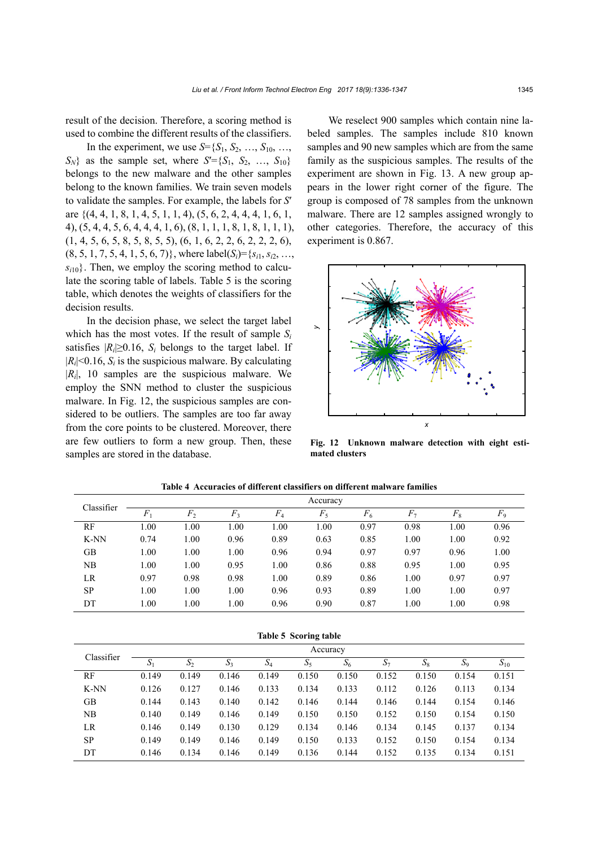result of the decision. Therefore, a scoring method is used to combine the different results of the classifiers.

In the experiment, we use  $S = \{S_1, S_2, ..., S_{10}, ...,$  $S_N$ } as the sample set, where  $S' = \{S_1, S_2, ..., S_{10}\}$ belongs to the new malware and the other samples belong to the known families. We train seven models to validate the samples. For example, the labels for *S*′ are {(4, 4, 1, 8, 1, 4, 5, 1, 1, 4), (5, 6, 2, 4, 4, 4, 1, 6, 1, 4), (5, 4, 4, 5, 6, 4, 4, 4, 1, 6), (8, 1, 1, 1, 8, 1, 8, 1, 1, 1),  $(1, 4, 5, 6, 5, 8, 5, 8, 5, 5), (6, 1, 6, 2, 2, 6, 2, 2, 2, 6),$  $(8, 5, 1, 7, 5, 4, 1, 5, 6, 7)$ , where label $(S_i) = \{s_{i1}, s_{i2}, \ldots, s_{i1}, s_{i2}, \ldots, s_{i n}\}$  $s_{i10}$ . Then, we employ the scoring method to calculate the scoring table of labels. Table 5 is the scoring table, which denotes the weights of classifiers for the decision results.

In the decision phase, we select the target label which has the most votes. If the result of sample  $S_i$ satisfies  $|R_i| \geq 0.16$ ,  $S_i$  belongs to the target label. If  $|R_i|$ <0.16,  $S_i$  is the suspicious malware. By calculating  $|R_i|$ , 10 samples are the suspicious malware. We employ the SNN method to cluster the suspicious malware. In Fig. 12, the suspicious samples are considered to be outliers. The samples are too far away from the core points to be clustered. Moreover, there are few outliers to form a new group. Then, these samples are stored in the database.

We reselect 900 samples which contain nine labeled samples. The samples include 810 known samples and 90 new samples which are from the same family as the suspicious samples. The results of the experiment are shown in Fig. 13. A new group appears in the lower right corner of the figure. The group is composed of 78 samples from the unknown malware. There are 12 samples assigned wrongly to other categories. Therefore, the accuracy of this experiment is 0.867.



**Fig. 12 Unknown malware detection with eight estimated clusters**

| Classifier | Accuracy |                |       |       |       |       |       |       |         |  |  |  |
|------------|----------|----------------|-------|-------|-------|-------|-------|-------|---------|--|--|--|
|            | $F_1$    | F <sub>2</sub> | $F_3$ | $F_4$ | $F_5$ | $F_6$ | $F_7$ | $F_8$ | $F_{9}$ |  |  |  |
| RF         | 1.00     | 00.1           | 1.00  | 1.00  | 00.   | 0.97  | 0.98  | 1.00  | 0.96    |  |  |  |
| K-NN       | 0.74     | 1.00           | 0.96  | 0.89  | 0.63  | 0.85  | 1.00  | 1.00  | 0.92    |  |  |  |
| GВ         | 1.00     | 1.00           | 1.00  | 0.96  | 0.94  | 0.97  | 0.97  | 0.96  | 1.00    |  |  |  |
| NB         | 1.00     | 0.00           | 0.95  | 1.00  | 0.86  | 0.88  | 0.95  | 1.00  | 0.95    |  |  |  |
| LR         | 0.97     | 0.98           | 0.98  | 1.00  | 0.89  | 0.86  | 1.00  | 0.97  | 0.97    |  |  |  |
| <b>SP</b>  | 1.00     | 1.00           | 1.00  | 0.96  | 0.93  | 0.89  | 1.00  | 1.00  | 0.97    |  |  |  |
| DT         | 1.00     | 1.00           | 1.00  | 0.96  | 0.90  | 0.87  | 1.00  | 1.00  | 0.98    |  |  |  |

**Table 4 Accuracies of different classifiers on different malware families** 

| Table 5 Scoring table |       |          |       |       |       |       |       |       |       |          |  |  |
|-----------------------|-------|----------|-------|-------|-------|-------|-------|-------|-------|----------|--|--|
| Classifier            |       | Accuracy |       |       |       |       |       |       |       |          |  |  |
|                       | $S_1$ | $S_2$    | $S_3$ | $S_4$ | $S_5$ | $S_6$ | $S_7$ | $S_8$ | $S_9$ | $S_{10}$ |  |  |
| RF                    | 0.149 | 0.149    | 0.146 | 0.149 | 0.150 | 0.150 | 0.152 | 0.150 | 0.154 | 0.151    |  |  |
| K-NN                  | 0.126 | 0.127    | 0.146 | 0.133 | 0.134 | 0.133 | 0.112 | 0.126 | 0.113 | 0.134    |  |  |
| GB                    | 0.144 | 0.143    | 0.140 | 0.142 | 0.146 | 0.144 | 0.146 | 0.144 | 0.154 | 0.146    |  |  |
| NB                    | 0.140 | 0.149    | 0.146 | 0.149 | 0.150 | 0.150 | 0.152 | 0.150 | 0.154 | 0.150    |  |  |
| LR.                   | 0.146 | 0.149    | 0.130 | 0.129 | 0.134 | 0.146 | 0.134 | 0.145 | 0.137 | 0.134    |  |  |
| <b>SP</b>             | 0.149 | 0.149    | 0.146 | 0.149 | 0.150 | 0.133 | 0.152 | 0.150 | 0.154 | 0.134    |  |  |
| DT                    | 0.146 | 0.134    | 0.146 | 0.149 | 0.136 | 0.144 | 0.152 | 0.135 | 0.134 | 0.151    |  |  |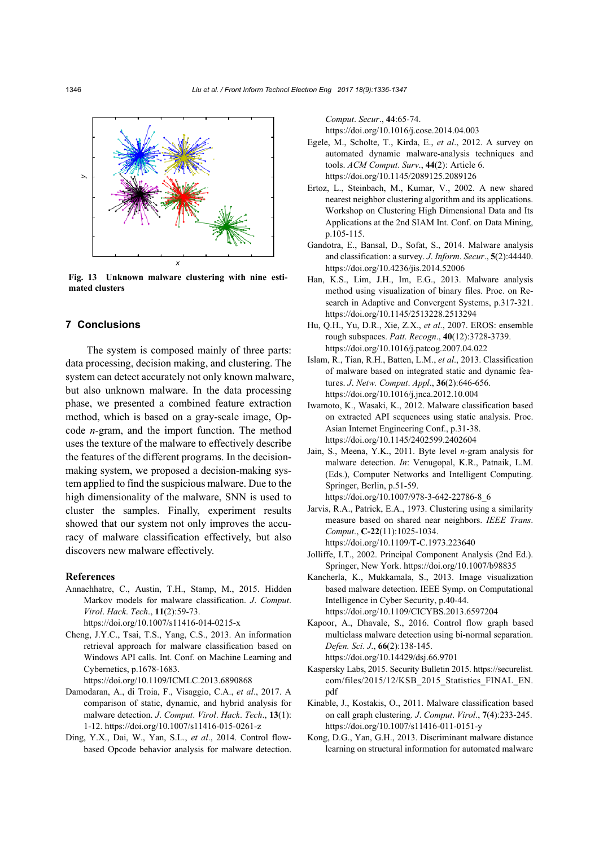

**Fig. 13 Unknown malware clustering with nine estimated clusters**

## **7 Conclusions**

The system is composed mainly of three parts: data processing, decision making, and clustering. The system can detect accurately not only known malware, but also unknown malware. In the data processing phase, we presented a combined feature extraction method, which is based on a gray-scale image, Opcode *n*-gram, and the import function. The method uses the texture of the malware to effectively describe the features of the different programs. In the decisionmaking system, we proposed a decision-making system applied to find the suspicious malware. Due to the high dimensionality of the malware, SNN is used to cluster the samples. Finally, experiment results showed that our system not only improves the accuracy of malware classification effectively, but also discovers new malware effectively.

## **References**

Annachhatre, C., Austin, T.H., Stamp, M., 2015. Hidden Markov models for malware classification. *J*. *Comput*. *Virol*. *Hack*. *Tech*., **11**(2):59-73. https://doi.org/10.1007/s11416-014-0215-x

Cheng, J.Y.C., Tsai, T.S., Yang, C.S., 2013. An information

- retrieval approach for malware classification based on Windows API calls. Int. Conf. on Machine Learning and Cybernetics, p.1678-1683. https://doi.org/10.1109/ICMLC.2013.6890868
- Damodaran, A., di Troia, F., Visaggio, C.A., *et al*., 2017. A comparison of static, dynamic, and hybrid analysis for malware detection. *J*. *Comput*. *Virol*. *Hack*. *Tech*., **13**(1):
- 1-12. https://doi.org/10.1007/s11416-015-0261-z Ding, Y.X., Dai, W., Yan, S.L., *et al*., 2014. Control flow-
- based Opcode behavior analysis for malware detection.

*Comput*. *Secur*., **44**:65-74.

https://doi.org/10.1016/j.cose.2014.04.003

- Egele, M., Scholte, T., Kirda, E., *et al*., 2012. A survey on automated dynamic malware-analysis techniques and tools. *ACM Comput*. *Surv*., **44**(2): Article 6. https://doi.org/10.1145/2089125.2089126
- Ertoz, L., Steinbach, M., Kumar, V., 2002. A new shared nearest neighbor clustering algorithm and its applications. Workshop on Clustering High Dimensional Data and Its Applications at the 2nd SIAM Int. Conf. on Data Mining, p.105-115.
- Gandotra, E., Bansal, D., Sofat, S., 2014. Malware analysis and classification: a survey. *J*. *Inform*. *Secur*., **5**(2):44440. https://doi.org/10.4236/jis.2014.52006
- Han, K.S., Lim, J.H., Im, E.G., 2013. Malware analysis method using visualization of binary files. Proc. on Research in Adaptive and Convergent Systems, p.317-321. https://doi.org/10.1145/2513228.2513294
- Hu, Q.H., Yu, D.R., Xie, Z.X., *et al*., 2007. EROS: ensemble rough subspaces. *Patt*. *Recogn*., **40**(12):3728-3739. https://doi.org/10.1016/j.patcog.2007.04.022
- Islam, R., Tian, R.H., Batten, L.M., *et al*., 2013. Classification of malware based on integrated static and dynamic features. *J*. *Netw. Comput*. *Appl*., **36**(2):646-656. https://doi.org/10.1016/j.jnca.2012.10.004
- Iwamoto, K., Wasaki, K., 2012. Malware classification based on extracted API sequences using static analysis. Proc. Asian Internet Engineering Conf., p.31-38. https://doi.org/10.1145/2402599.2402604
- Jain, S., Meena, Y.K., 2011. Byte level *n*-gram analysis for malware detection. *In*: Venugopal, K.R., Patnaik, L.M. (Eds.), Computer Networks and Intelligent Computing. Springer, Berlin, p.51-59. https://doi.org/10.1007/978-3-642-22786-8\_6
- Jarvis, R.A., Patrick, E.A., 1973. Clustering using a similarity measure based on shared near neighbors. *IEEE Trans*. *Comput*., **C-22**(11):1025-1034. https://doi.org/10.1109/T-C.1973.223640
- Jolliffe, I.T., 2002. Principal Component Analysis (2nd Ed.). Springer, New York. https://doi.org/10.1007/b98835
- Kancherla, K., Mukkamala, S., 2013. Image visualization based malware detection. IEEE Symp. on Computational Intelligence in Cyber Security, p.40-44. https://doi.org/10.1109/CICYBS.2013.6597204
- Kapoor, A., Dhavale, S., 2016. Control flow graph based multiclass malware detection using bi-normal separation. *Defen. Sci*. *J*., **66**(2):138-145. https://doi.org/10.14429/dsj.66.9701
- Kaspersky Labs, 2015. Security Bulletin 2015. https://securelist. com/files/2015/12/KSB\_2015\_Statistics\_FINAL\_EN. pdf
- Kinable, J., Kostakis, O., 2011. Malware classification based on call graph clustering. *J*. *Comput*. *Virol*., **7**(4):233-245. https://doi.org/10.1007/s11416-011-0151-y
- Kong, D.G., Yan, G.H., 2013. Discriminant malware distance learning on structural information for automated malware